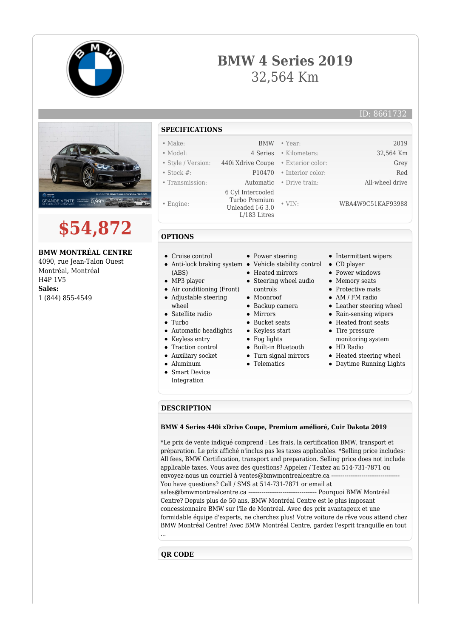

## **BMW 4 Series 2019** 32,564 Km



1 (844) 855-4549

- wheel • Satellite radio
- $\bullet$  Turbo
- Automatic headlights
- Keyless entry
- Traction control
- Auxiliary socket
- Aluminum
- Smart Device
- Integration
- Moonroof
- Backup camera
- $\bullet$  Mirrors
- Bucket seats
- Keyless start
- Fog lights
- Built-in Bluetooth
- Turn signal mirrors
- **•** Telematics
- 
- AM / FM radio
- Leather steering wheel
- Rain-sensing wipers
- Heated front seats
- Tire pressure monitoring system
- HD Radio
- Heated steering wheel
- Daytime Running Lights

## **DESCRIPTION**

## **BMW 4 Series 440i xDrive Coupe, Premium amélioré, Cuir Dakota 2019**

\*Le prix de vente indiqué comprend : Les frais, la certification BMW, transport et préparation. Le prix affiché n'inclus pas les taxes applicables. \*Selling price includes: All fees, BMW Certification, transport and preparation. Selling price does not include applicable taxes. Vous avez des questions? Appelez / Textez au 514-731-7871 ou envoyez-nous un courriel à ventes@bmwmontrealcentre.ca ---You have questions? Call / SMS at 514-731-7871 or email at sales@bmwmontrealcentre.ca ------------------------------------ Pourquoi BMW Montréal Centre? Depuis plus de 50 ans, BMW Montréal Centre est le plus imposant concessionnaire BMW sur l'île de Montréal. Avec des prix avantageux et une formidable équipe d'experts, ne cherchez plus! Votre voiture de rêve vous attend chez BMW Montréal Centre! Avec BMW Montréal Centre, gardez l'esprit tranquille en tout ...

**QR CODE**